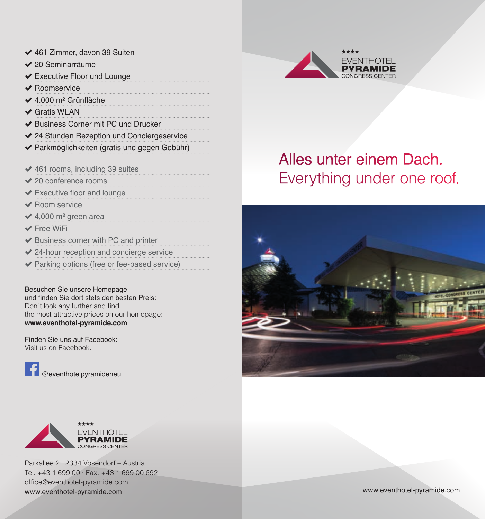- $\blacktriangleright$  461 Zimmer, davon 39 Suiten
- $\angle$  20 Seminarräume
- $\blacktriangleright$  Executive Floor und Lounge
- $\vee$  Roomservice
- ◆ 4.000 m<sup>2</sup> Grünfläche
- $\checkmark$  Gratis WLAN
- ◆ Business Corner mit PC und Drucker
- ◆ 24 Stunden Rezeption und Conciergeservice
- ( Parkmöglichkeiten (gratis und gegen Gebühr)
- $\blacktriangleright$  461 rooms, including 39 suites
- $\vee$  20 conference rooms
- $\blacktriangleright$  Executive floor and lounge
- Room service
- $\triangleleft$  4.000 m<sup>2</sup> green area
- $\blacktriangleright$  Free WiFi
- $\blacktriangleright$  Business corner with PC and printer
- $\vee$  24-hour reception and concierge service
- $\blacktriangleright$  Parking options (free or fee-based service)

Besuchen Sie unsere Homepage und finden Sie dort stets den besten Preis: Don´t look any further and find the most attractive prices on our homepage: **www.eventhotel-pyramide.com**

Finden Sie uns auf Facebook: Visit us on Facebook:

@eventhotelpyramideneu



Parkallee 2 ∙ 2334 Vösendorf – Austria Tel: +43 1 699 00 ∙ Fax: +43 1 699 00 692 office@eventhotel-pyramide.com www.eventhotel-pyramide.com



# Alles unter einem Dach. Everything under one roof.

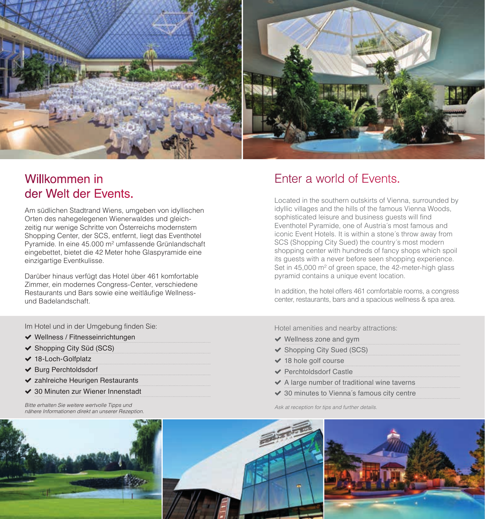

### Willkommen in der Welt der Events.

Am südlichen Stadtrand Wiens, umgeben von idyllischen Orten des nahegelegenen Wienerwaldes und gleichzeitig nur wenige Schritte von Österreichs modernstem Shopping Center, der SCS, entfernt, liegt das Eventhotel Pyramide. In eine 45.000 m² umfassende Grünlandschaft eingebettet, bietet die 42 Meter hohe Glaspyramide eine einzigartige Eventkulisse.

Darüber hinaus verfügt das Hotel über 461 komfortable Zimmer, ein modernes Congress-Center, verschiedene Restaurants und Bars sowie eine weitläufige Wellnessund Badelandschaft.

### Enter a world of Events.

Located in the southern outskirts of Vienna, surrounded by idyllic villages and the hills of the famous Vienna Woods, sophisticated leisure and business guests will find Eventhotel Pyramide, one of Austria´s most famous and iconic Event Hotels. It is within a stone´s throw away from SCS (Shopping City Sued) the country's most modern shopping center with hundreds of fancy shops which spoil its guests with a never before seen shopping experience. Set in 45,000 m<sup>2</sup> of green space, the 42-meter-high glass pyramid contains a unique event location.

In addition, the hotel offers 461 comfortable rooms, a congress center, restaurants, bars and a spacious wellness & spa area.

Im Hotel und in der Umgebung finden Sie:

- $\blacktriangleright$  Wellness / Fitnesseinrichtungen
- ◆ Shopping City Süd (SCS)
- $\blacktriangleright$  18-Loch-Golfplatz
- ◆ Burg Perchtoldsdorf
- $\blacktriangleright$  zahlreiche Heurigen Restaurants
- ◆ 30 Minuten zur Wiener Innenstadt

*Bitte erhalten Sie weitere wertvolle Tipps und nähere Informationen direkt an unserer Rezeption.*

Hotel amenities and nearby attractions:

- $\vee$  Wellness zone and gym
- ◆ Shopping City Sued (SCS)
- $\vee$  18 hole golf course
- ◆ Perchtoldsdorf Castle
- $\blacktriangleright$  A large number of traditional wine taverns
- $\vee$  30 minutes to Vienna's famous city centre

*Ask at reception for tips and further details.*

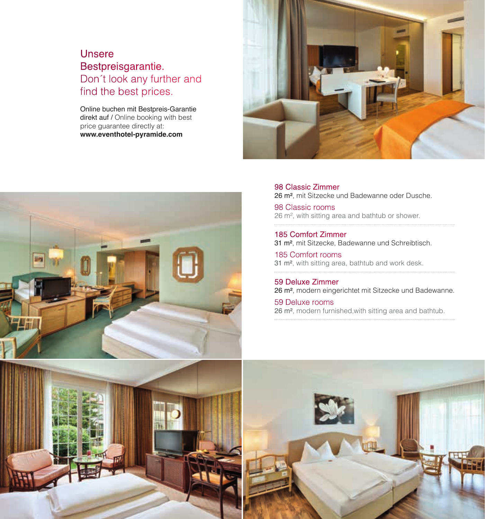### Unsere Bestpreisgarantie. Don´t look any further and find the best prices.

Online buchen mit Bestpreis-Garantie direkt auf / Online booking with best price guarantee directly at: **www.eventhotel-pyramide.com**





98 Classic Zimmer 26 m², mit Sitzecke und Badewanne oder Dusche.

98 Classic rooms 26 m², with sitting area and bathtub or shower.

185 Comfort Zimmer 31 m², mit Sitzecke, Badewanne und Schreibtisch.

185 Comfort rooms 31 m², with sitting area, bathtub and work desk.

59 Deluxe Zimmer 26 m², modern eingerichtet mit Sitzecke und Badewanne.

59 Deluxe rooms 26 m², modern furnished,with sitting area and bathtub.

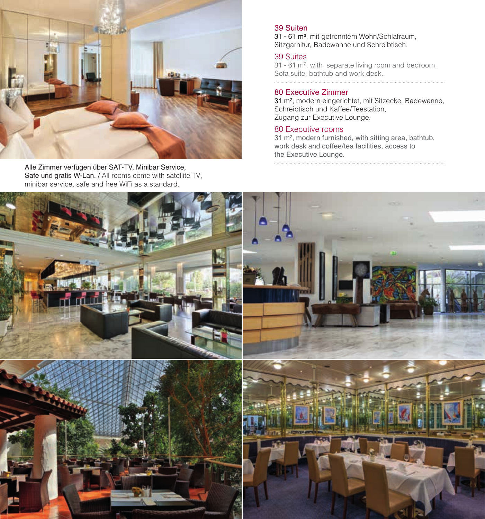

Alle Zimmer verfügen über SAT-TV, Minibar Service, Safe und gratis W-Lan. / All rooms come with satellite TV, minibar service, safe and free WiFi as a standard.

#### 39 Suiten

31 - 61 m², mit getrenntem Wohn/Schlafraum, Sitzgarnitur, Badewanne und Schreibtisch.

#### 39 Suites

31 - 61 m², with separate living room and bedroom, Sofa suite, bathtub and work desk.

#### 80 Executive Zimmer

31 m², modern eingerichtet, mit Sitzecke, Badewanne, Schreibtisch und Kaffee/Teestation, Zugang zur Executive Lounge.

#### 80 Executive rooms

31 m², modern furnished, with sitting area, bathtub, work desk and coffee/tea facilities, access to the Executive Lounge.

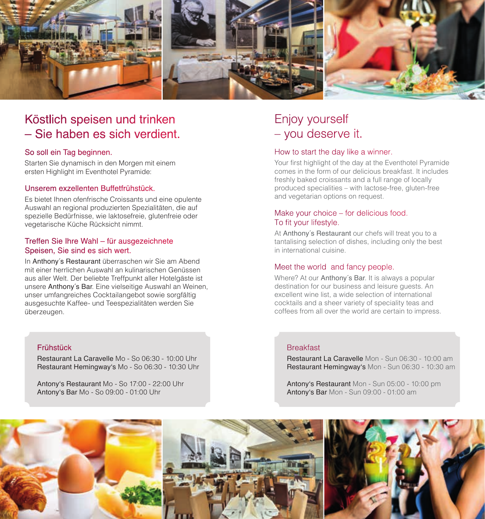

### Köstlich speisen und trinken – Sie haben es sich verdient.

#### So soll ein Tag beginnen.

Starten Sie dynamisch in den Morgen mit einem ersten Highlight im Eventhotel Pyramide:

#### Unserem exzellenten Buffetfrühstück.

Es bietet Ihnen ofenfrische Croissants und eine opulente Auswahl an regional produzierten Spezialitäten, die auf spezielle Bedürfnisse, wie laktosefreie, glutenfreie oder vegetarische Küche Rücksicht nimmt.

#### Treffen Sie Ihre Wahl – für ausgezeichnete Speisen, Sie sind es sich wert.

In Anthony´s Restaurant überraschen wir Sie am Abend mit einer herrlichen Auswahl an kulinarischen Genüssen aus aller Welt. Der beliebte Treffpunkt aller Hotelgäste ist unsere Anthony´s Bar. Eine vielseitige Auswahl an Weinen, unser umfangreiches Cocktailangebot sowie sorgfältig ausgesuchte Kaffee- und Teespezialitäten werden Sie überzeugen.

#### Frühstück

Restaurant La Caravelle Mo - So 06:30 - 10:00 Uhr Restaurant Hemingway's Mo - So 06:30 - 10:30 Uhr

Antony's Restaurant Mo - So 17:00 - 22:00 Uhr Antony's Bar Mo - So 09:00 - 01:00 Uhr

### Enjoy yourself – you deserve it.

#### How to start the day like a winner.

Your first highlight of the day at the Eventhotel Pyramide comes in the form of our delicious breakfast. It includes freshly baked croissants and a full range of locally produced specialities – with lactose-free, gluten-free and vegetarian options on request.

#### Make your choice – for delicious food. To fit your lifestyle.

At Anthony´s Restaurant our chefs will treat you to a tantalising selection of dishes, including only the best in international cuisine.

#### Meet the world and fancy people.

Where? At our Anthony´s Bar. It is always a popular destination for our business and leisure guests. An excellent wine list, a wide selection of international cocktails and a sheer variety of speciality teas and coffees from all over the world are certain to impress.

#### **Breakfast**

Restaurant La Caravelle Mon - Sun 06:30 - 10:00 am Restaurant Hemingway's Mon - Sun 06:30 - 10:30 am

Antony's Restaurant Mon - Sun 05:00 - 10:00 pm Antony's Bar Mon - Sun 09:00 - 01:00 am